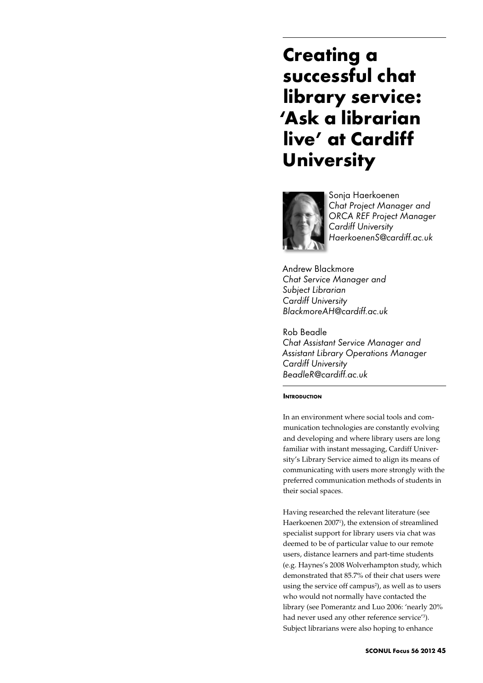# **Creating a successful chat library service: 'Ask a librarian live' at Cardiff University**



Sonja Haerkoenen *Chat Project Manager and ORCA REF Project Manager Cardiff University HaerkoenenS@cardiff.ac.uk*

Andrew Blackmore *Chat Service Manager and Subject Librarian Cardiff University BlackmoreAH@cardiff.ac.uk*

Rob Beadle *Chat Assistant Service Manager and Assistant Library Operations Manager Cardiff University BeadleR@cardiff.ac.uk*

## **INTRODUCTION**

In an environment where social tools and communication technologies are constantly evolving and developing and where library users are long familiar with instant messaging, Cardiff University's Library Service aimed to align its means of communicating with users more strongly with the preferred communication methods of students in their social spaces.

Having researched the relevant literature (see Haerkoenen 2007<sup>1</sup>), the extension of streamlined specialist support for library users via chat was deemed to be of particular value to our remote users, distance learners and part-time students (e.g. Haynes's 2008 Wolverhampton study, which demonstrated that 85.7% of their chat users were using the service off campus<sup>2</sup>), as well as to users who would not normally have contacted the library (see Pomerantz and Luo 2006: 'nearly 20% had never used any other reference service<sup>'3</sup>). Subject librarians were also hoping to enhance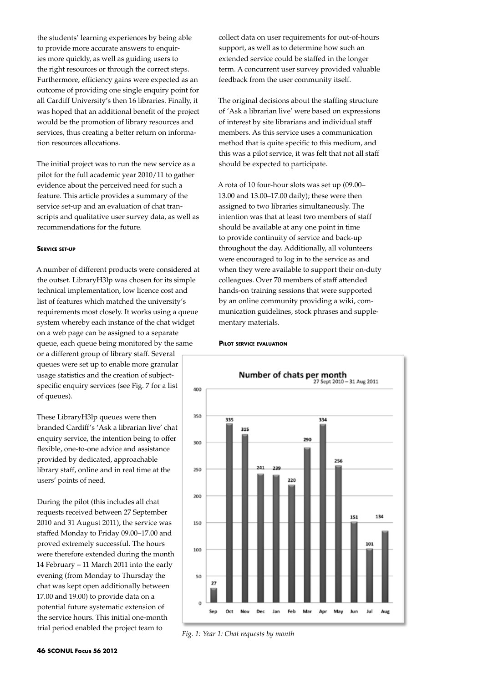the students' learning experiences by being able to provide more accurate answers to enquiries more quickly, as well as guiding users to the right resources or through the correct steps. Furthermore, efficiency gains were expected as an outcome of providing one single enquiry point for all Cardiff University's then 16 libraries. Finally, it was hoped that an additional benefit of the project would be the promotion of library resources and services, thus creating a better return on information resources allocations.

The initial project was to run the new service as a pilot for the full academic year 2010/11 to gather evidence about the perceived need for such a feature. This article provides a summary of the service set-up and an evaluation of chat transcripts and qualitative user survey data, as well as recommendations for the future.

### **Service set-up**

A number of different products were considered at the outset. LibraryH3lp was chosen for its simple technical implementation, low licence cost and list of features which matched the university's requirements most closely. It works using a queue system whereby each instance of the chat widget on a web page can be assigned to a separate queue, each queue being monitored by the same or a different group of library staff. Several queues were set up to enable more granular usage statistics and the creation of subjectspecific enquiry services (see Fig. 7 for a list of queues).

These LibraryH3lp queues were then branded Cardiff's 'Ask a librarian live' chat enquiry service, the intention being to offer flexible, one-to-one advice and assistance provided by dedicated, approachable library staff, online and in real time at the users' points of need.

During the pilot (this includes all chat requests received between 27 September 2010 and 31 August 2011), the service was staffed Monday to Friday 09.00–17.00 and proved extremely successful. The hours were therefore extended during the month 14 February – 11 March 2011 into the early evening (from Monday to Thursday the chat was kept open additionally between 17.00 and 19.00) to provide data on a potential future systematic extension of the service hours. This initial one-month trial period enabled the project team to

collect data on user requirements for out-of-hours support, as well as to determine how such an extended service could be staffed in the longer term. A concurrent user survey provided valuable feedback from the user community itself.

The original decisions about the staffing structure of 'Ask a librarian live' were based on expressions of interest by site librarians and individual staff members. As this service uses a communication method that is quite specific to this medium, and this was a pilot service, it was felt that not all staff should be expected to participate.

A rota of 10 four-hour slots was set up (09.00– 13.00 and 13.00–17.00 daily); these were then assigned to two libraries simultaneously. The intention was that at least two members of staff should be available at any one point in time to provide continuity of service and back-up throughout the day. Additionally, all volunteers were encouraged to log in to the service as and when they were available to support their on-duty colleagues. Over 70 members of staff attended hands-on training sessions that were supported by an online community providing a wiki, communication guidelines, stock phrases and supplementary materials.

#### **Pilot service evaluation**



*Fig. 1: Year 1: Chat requests by month*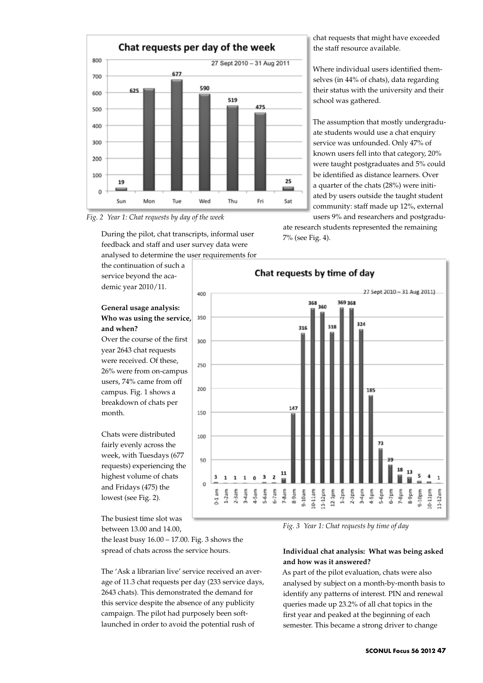



During the pilot, chat transcripts, informal user feedback and staff and user survey data were analysed to determine the user requirements for

the continuation of such a service beyond the academic year 2010/11.

## **General usage analysis: Who was using the service, and when?**

Over the course of the first year 2643 chat requests were received. Of these, 26% were from on-campus users, 74% came from off campus. Fig. 1 shows a breakdown of chats per month.

Chats were distributed fairly evenly across the week, with Tuesdays (677 requests) experiencing the highest volume of chats and Fridays (475) the lowest (see Fig. 2).

The busiest time slot was between 13.00 and 14.00,

the least busy 16.00 – 17.00. Fig. 3 shows the spread of chats across the service hours.

The 'Ask a librarian live' service received an average of 11.3 chat requests per day (233 service days, 2643 chats). This demonstrated the demand for this service despite the absence of any publicity campaign. The pilot had purposely been softlaunched in order to avoid the potential rush of

chat requests that might have exceeded the staff resource available.

Where individual users identified themselves (in 44% of chats), data regarding their status with the university and their school was gathered.

The assumption that mostly undergraduate students would use a chat enquiry service was unfounded. Only 47% of known users fell into that category, 20% were taught postgraduates and 5% could be identified as distance learners. Over a quarter of the chats (28%) were initiated by users outside the taught student community: staff made up 12%, external users 9% and researchers and postgradu-

ate research students represented the remaining 7% (see Fig. 4).



*Fig. 3 Year 1: Chat requests by time of day*

# **Individual chat analysis: What was being asked and how was it answered?**

As part of the pilot evaluation, chats were also analysed by subject on a month-by-month basis to identify any patterns of interest. PIN and renewal queries made up 23.2% of all chat topics in the first year and peaked at the beginning of each semester. This became a strong driver to change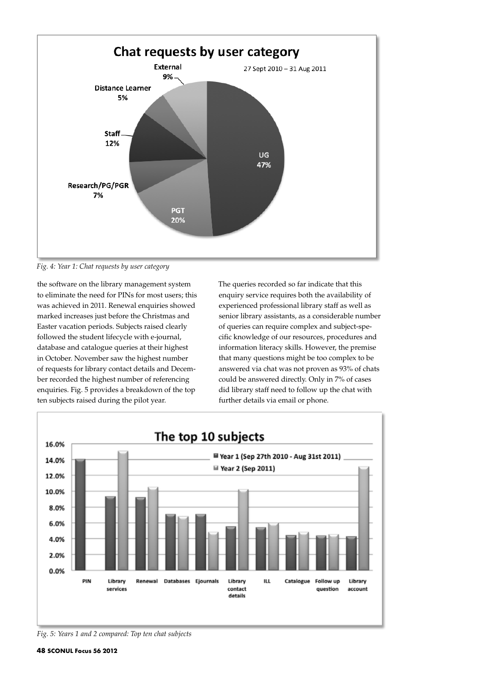

*Fig. 4: Year 1: Chat requests by user category*

the software on the library management system to eliminate the need for PINs for most users; this was achieved in 2011. Renewal enquiries showed marked increases just before the Christmas and Easter vacation periods. Subjects raised clearly followed the student lifecycle with e-journal, database and catalogue queries at their highest in October. November saw the highest number of requests for library contact details and December recorded the highest number of referencing enquiries. Fig. 5 provides a breakdown of the top ten subjects raised during the pilot year.

The queries recorded so far indicate that this enquiry service requires both the availability of experienced professional library staff as well as senior library assistants, as a considerable number of queries can require complex and subject-specific knowledge of our resources, procedures and information literacy skills. However, the premise that many questions might be too complex to be answered via chat was not proven as 93% of chats could be answered directly. Only in 7% of cases did library staff need to follow up the chat with further details via email or phone.



*Fig. 5: Years 1 and 2 compared: Top ten chat subjects*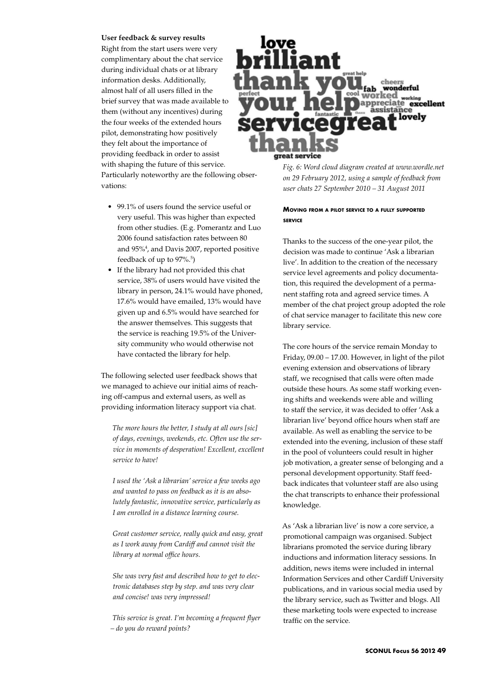#### **User feedback & survey results**

Right from the start users were very complimentary about the chat service during individual chats or at library information desks. Additionally, almost half of all users filled in the brief survey that was made available to them (without any incentives) during the four weeks of the extended hours pilot, demonstrating how positively they felt about the importance of providing feedback in order to assist with shaping the future of this service. Particularly noteworthy are the following observations:

- 99.1% of users found the service useful or very useful. This was higher than expected from other studies. (E.g. Pomerantz and Luo 2006 found satisfaction rates between 80 and 95%4 , and Davis 2007, reported positive feedback of up to 97%.<sup>5</sup>)
- • If the library had not provided this chat service, 38% of users would have visited the library in person, 24.1% would have phoned, 17.6% would have emailed, 13% would have given up and 6.5% would have searched for the answer themselves. This suggests that the service is reaching 19.5% of the University community who would otherwise not have contacted the library for help.

The following selected user feedback shows that we managed to achieve our initial aims of reaching off-campus and external users, as well as providing information literacy support via chat.

*The more hours the better, I study at all ours [sic] of days, evenings, weekends, etc. Often use the service in moments of desperation! Excellent, excellent service to have!*

*I used the 'Ask a librarian' service a few weeks ago and wanted to pass on feedback as it is an absolutely fantastic, innovative service, particularly as I am enrolled in a distance learning course.*

*Great customer service, really quick and easy, great as I work away from Cardiff and cannot visit the library at normal office hours.* 

*She was very fast and described how to get to electronic databases step by step. and was very clear and concise! was very impressed!* 

*This service is great. I'm becoming a frequent flyer – do you do reward points?*



*Fig. 6: Word cloud diagram created at www.wordle.net on 29 February 2012, using a sample of feedback from user chats 27 September 2010 – 31 August 2011* 

# **Moving from <sup>a</sup> pilot service to <sup>a</sup> fully supported service**

Thanks to the success of the one-year pilot, the decision was made to continue 'Ask a librarian live'. In addition to the creation of the necessary service level agreements and policy documentation, this required the development of a permanent staffing rota and agreed service times. A member of the chat project group adopted the role of chat service manager to facilitate this new core library service.

The core hours of the service remain Monday to Friday, 09.00 – 17.00. However, in light of the pilot evening extension and observations of library staff, we recognised that calls were often made outside these hours. As some staff working evening shifts and weekends were able and willing to staff the service, it was decided to offer 'Ask a librarian live' beyond office hours when staff are available. As well as enabling the service to be extended into the evening, inclusion of these staff in the pool of volunteers could result in higher job motivation, a greater sense of belonging and a personal development opportunity. Staff feedback indicates that volunteer staff are also using the chat transcripts to enhance their professional knowledge.

As 'Ask a librarian live' is now a core service, a promotional campaign was organised. Subject librarians promoted the service during library inductions and information literacy sessions. In addition, news items were included in internal Information Services and other Cardiff University publications, and in various social media used by the library service, such as Twitter and blogs. All these marketing tools were expected to increase traffic on the service.